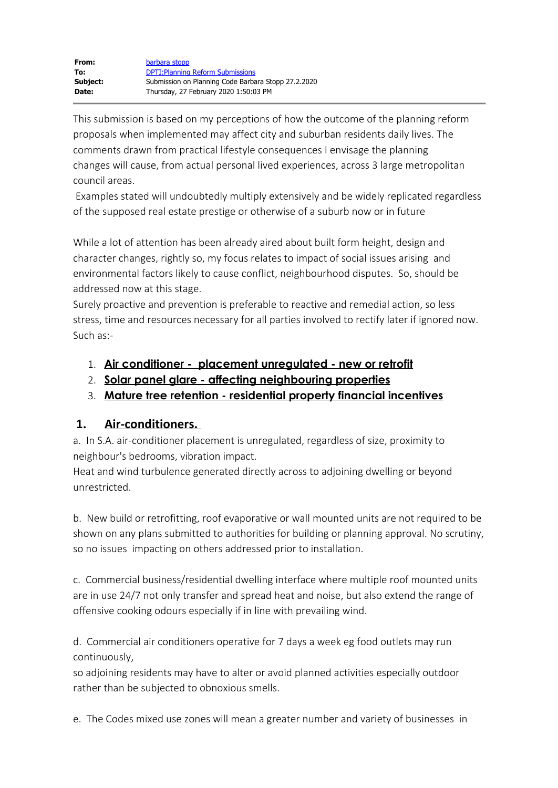| From:    | barbara stopp                                       |
|----------|-----------------------------------------------------|
| To:      | <b>DPTI: Planning Reform Submissions</b>            |
| Subject: | Submission on Planning Code Barbara Stopp 27.2.2020 |
| Date:    | Thursday, 27 February 2020 1:50:03 PM               |

This submission is based on my perceptions of how the outcome of the planning reform proposals when implemented may affect city and suburban residents daily lives. The comments drawn from practical lifestyle consequences I envisage the planning changes will cause, from actual personal lived experiences, across 3 large metropolitan council areas.

Examples stated will undoubtedly multiply extensively and be widely replicated regardless of the supposed real estate prestige or otherwise of a suburb now or in future

While a lot of attention has been already aired about built form height, design and character changes, rightly so, my focus relates to impact of social issues arising and environmental factors likely to cause conflict, neighbourhood disputes. So, should be addressed now at this stage.

Surely proactive and prevention is preferable to reactive and remedial action, so less stress, time and resources necessary for all parties involved to rectify later if ignored now. Such as:-

- 1. **Air conditioner placement unregulated new or retrofit**
- 2. **Solar panel glare affecting neighbouring properties**
- 3. **Mature tree retention residential property financial incentives**

## **1. Air-conditioners.**

a. In S.A. air-conditioner placement is unregulated, regardless of size, proximity to neighbour's bedrooms, vibration impact.

Heat and wind turbulence generated directly across to adjoining dwelling or beyond unrestricted.

b. New build or retrofitting, roof evaporative or wall mounted units are not required to be shown on any plans submitted to authorities for building or planning approval. No scrutiny, so no issues impacting on others addressed prior to installation.

c. Commercial business/residential dwelling interface where multiple roof mounted units are in use 24/7 not only transfer and spread heat and noise, but also extend the range of offensive cooking odours especially if in line with prevailing wind.

d. Commercial air conditioners operative for 7 days a week eg food outlets may run continuously,

so adjoining residents may have to alter or avoid planned activities especially outdoor rather than be subjected to obnoxious smells.

e. The Codes mixed use zones will mean a greater number and variety of businesses in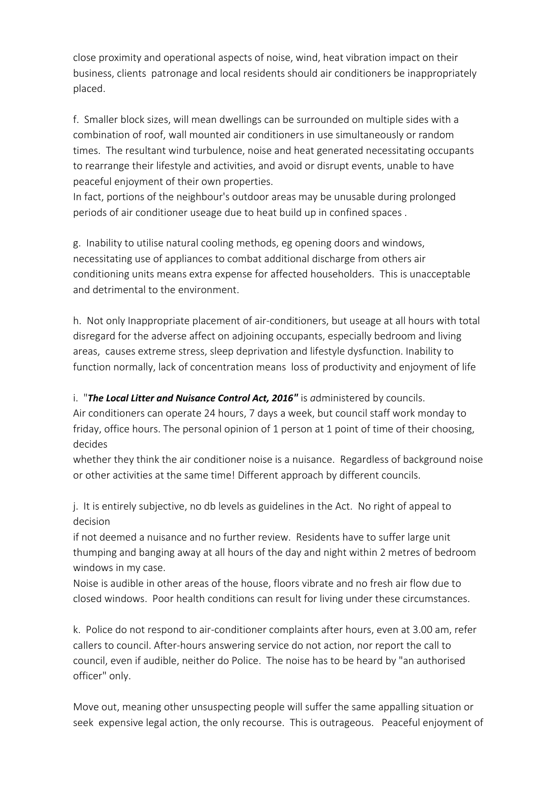close proximity and operational aspects of noise, wind, heat vibration impact on their business, clients patronage and local residents should air conditioners be inappropriately placed.

f. Smaller block sizes, will mean dwellings can be surrounded on multiple sides with a combination of roof, wall mounted air conditioners in use simultaneously or random times. The resultant wind turbulence, noise and heat generated necessitating occupants to rearrange their lifestyle and activities, and avoid or disrupt events, unable to have peaceful enjoyment of their own properties.

In fact, portions of the neighbour's outdoor areas may be unusable during prolonged periods of air conditioner useage due to heat build up in confined spaces .

g. Inability to utilise natural cooling methods, eg opening doors and windows, necessitating use of appliances to combat additional discharge from others air conditioning units means extra expense for affected householders. This is unacceptable and detrimental to the environment.

h. Not only Inappropriate placement of air-conditioners, but useage at all hours with total disregard for the adverse affect on adjoining occupants, especially bedroom and living areas, causes extreme stress, sleep deprivation and lifestyle dysfunction. Inability to function normally, lack of concentration means loss of productivity and enjoyment of life

i. "**The Local Litter and Nuisance Control Act, 2016"** is administered by councils.

Air conditioners can operate 24 hours, 7 days a week, but council staff work monday to friday, office hours. The personal opinion of 1 person at 1 point of time of their choosing, decides

whether they think the air conditioner noise is a nuisance. Regardless of background noise or other activities at the same time! Different approach by different councils.

j. It is entirely subjective, no db levels as guidelines in the Act. No right of appeal to decision

if not deemed a nuisance and no further review. Residents have to suffer large unit thumping and banging away at all hours of the day and night within 2 metres of bedroom windows in my case.

Noise is audible in other areas of the house, floors vibrate and no fresh air flow due to closed windows. Poor health conditions can result for living under these circumstances.

k. Police do not respond to air-conditioner complaints after hours, even at 3.00 am, refer callers to council. After-hours answering service do not action, nor report the call to council, even if audible, neither do Police. The noise has to be heard by "an authorised officer" only.

Move out, meaning other unsuspecting people will suffer the same appalling situation or seek expensive legal action, the only recourse. This is outrageous. Peaceful enjoyment of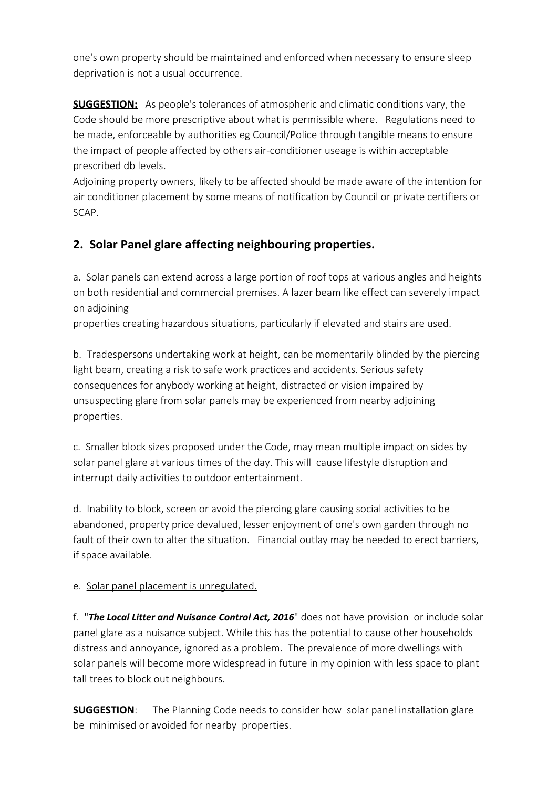one's own property should be maintained and enforced when necessary to ensure sleep deprivation is not a usual occurrence.

**SUGGESTION:** As people's tolerances of atmospheric and climatic conditions vary, the Code should be more prescriptive about what is permissible where. Regulations need to be made, enforceable by authorities eg Council/Police through tangible means to ensure the impact of people affected by others air-conditioner useage is within acceptable prescribed db levels.

Adjoining property owners, likely to be affected should be made aware of the intention for air conditioner placement by some means of notification by Council or private certifiers or SCAP.

# **2. Solar Panel glare affecting neighbouring properties.**

a. Solar panels can extend across a large portion of roof tops at various angles and heights on both residential and commercial premises. A lazer beam like effect can severely impact on adjoining

properties creating hazardous situations, particularly if elevated and stairs are used.

b. Tradespersons undertaking work at height, can be momentarily blinded by the piercing light beam, creating a risk to safe work practices and accidents. Serious safety consequences for anybody working at height, distracted or vision impaired by unsuspecting glare from solar panels may be experienced from nearby adjoining properties.

c. Smaller block sizes proposed under the Code, may mean multiple impact on sides by solar panel glare at various times of the day. This will cause lifestyle disruption and interrupt daily activities to outdoor entertainment.

d. Inability to block, screen or avoid the piercing glare causing social activities to be abandoned, property price devalued, lesser enjoyment of one's own garden through no fault of their own to alter the situation. Financial outlay may be needed to erect barriers, if space available.

### e. Solar panel placement is unregulated.

f. "*The Local Litter and Nuisance Control Act, 2016*" does not have provision or include solar panel glare as a nuisance subject. While this has the potential to cause other households distress and annoyance, ignored as a problem. The prevalence of more dwellings with solar panels will become more widespread in future in my opinion with less space to plant tall trees to block out neighbours.

**SUGGESTION**: The Planning Code needs to consider how solar panel installation glare be minimised or avoided for nearby properties.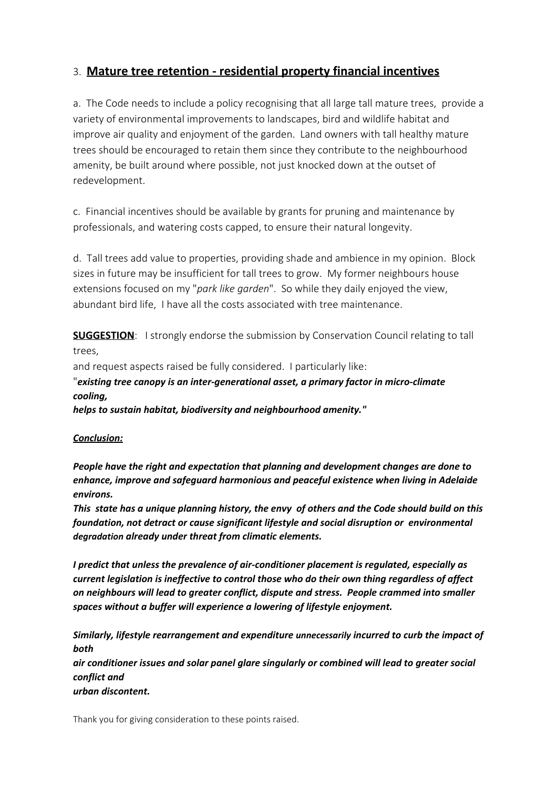## 3. **Mature tree retention - residential property financial incentives**

a. The Code needs to include a policy recognising that all large tall mature trees, provide a variety of environmental improvements to landscapes, bird and wildlife habitat and improve air quality and enjoyment of the garden. Land owners with tall healthy mature trees should be encouraged to retain them since they contribute to the neighbourhood amenity, be built around where possible, not just knocked down at the outset of redevelopment.

c. Financial incentives should be available by grants for pruning and maintenance by professionals, and watering costs capped, to ensure their natural longevity.

d. Tall trees add value to properties, providing shade and ambience in my opinion. Block sizes in future may be insufficient for tall trees to grow. My former neighbours house extensions focused on my "*park like garden*". So while they daily enjoyed the view, abundant bird life, I have all the costs associated with tree maintenance.

**SUGGESTION:** I strongly endorse the submission by Conservation Council relating to tall trees,

and request aspects raised be fully considered. I particularly like:

# "*existing tree canopy is an inter-generational asset, a primary factor in micro-climate cooling,*

*helps to sustain habitat, biodiversity and neighbourhood amenity."*

#### *Conclusion:*

*People have the right and expectation that planning and development changes are done to enhance, improve and safeguard harmonious and peaceful existence when living in Adelaide environs.*

*This state has a unique planning history, the envy of others and the Code should build on this foundation, not detract or cause significant lifestyle and social disruption or environmental degradation already under threat from climatic elements.*

*I predict that unless the prevalence of air-conditioner placement is regulated, especially as current legislation is ineffective to control those who do their own thing regardless of affect on neighbours will lead to greater conflict, dispute and stress. People crammed into smaller spaces without a buffer will experience a lowering of lifestyle enjoyment.* 

*Similarly, lifestyle rearrangement and expenditure unnecessarily incurred to curb the impact of both*

*air conditioner issues and solar panel glare singularly or combined will lead to greater social conflict and*

*urban discontent.*

Thank you for giving consideration to these points raised.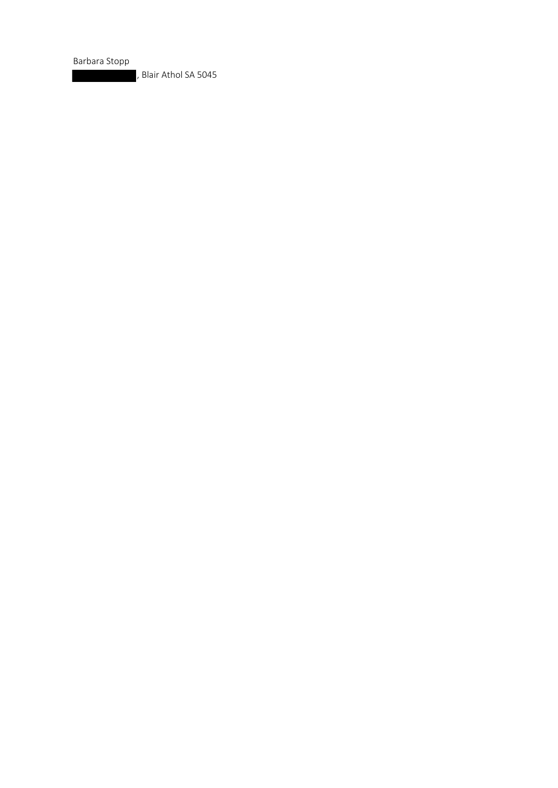Barbara Stopp

, Blair Athol SA 5045